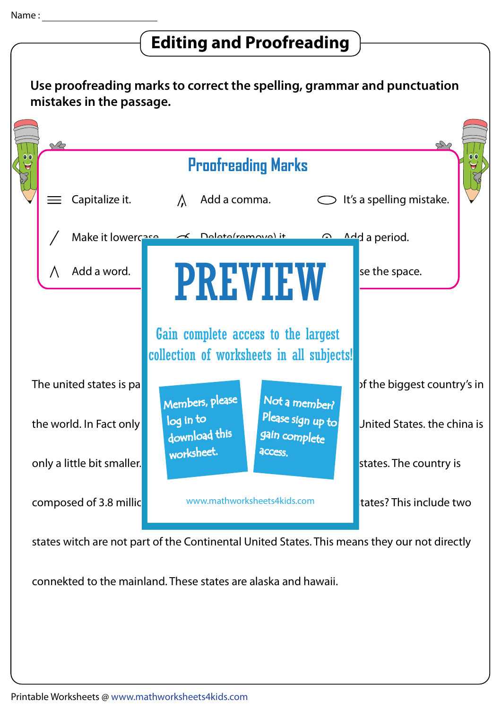## $\sqrt{\phantom{a} }$  Editing and Proofreading  $\Big\}$

|                                                       | $\sim$<br><b>Proofreading Marks</b> |                                                                                                                                      |                             |
|-------------------------------------------------------|-------------------------------------|--------------------------------------------------------------------------------------------------------------------------------------|-----------------------------|
|                                                       | Capitalize it.                      | Add a comma.<br>It's a spelling mistake.<br>$\lambda$                                                                                |                             |
|                                                       |                                     | Make it lowercase and Delete/remove) it<br>$\triangle$ <sup>d</sup> d a period.<br>$\Omega$                                          |                             |
|                                                       | Add a word.                         | <b>PREVIEW</b>                                                                                                                       | se the space.               |
|                                                       |                                     | Gain complete access to the largest<br>collection of worksheets in all subjects!                                                     |                             |
| The united states is pa                               |                                     | Members, please<br>Not a member?<br>Please sign up to<br>log in to<br>download this<br>gain complete<br>worksheet.<br><b>ACCESS.</b> | of the biggest country's in |
| the world. In Fact only<br>only a little bit smaller. |                                     |                                                                                                                                      | United States, the china is |
|                                                       |                                     |                                                                                                                                      | states. The country is      |
|                                                       | composed of 3.8 millic              | www.mathworksheets4kids.com                                                                                                          | tates? This include two     |
|                                                       |                                     | states witch are not part of the Continental United States. This means they our not directly                                         |                             |
|                                                       |                                     | connekted to the mainland. These states are alaska and hawaii.                                                                       |                             |